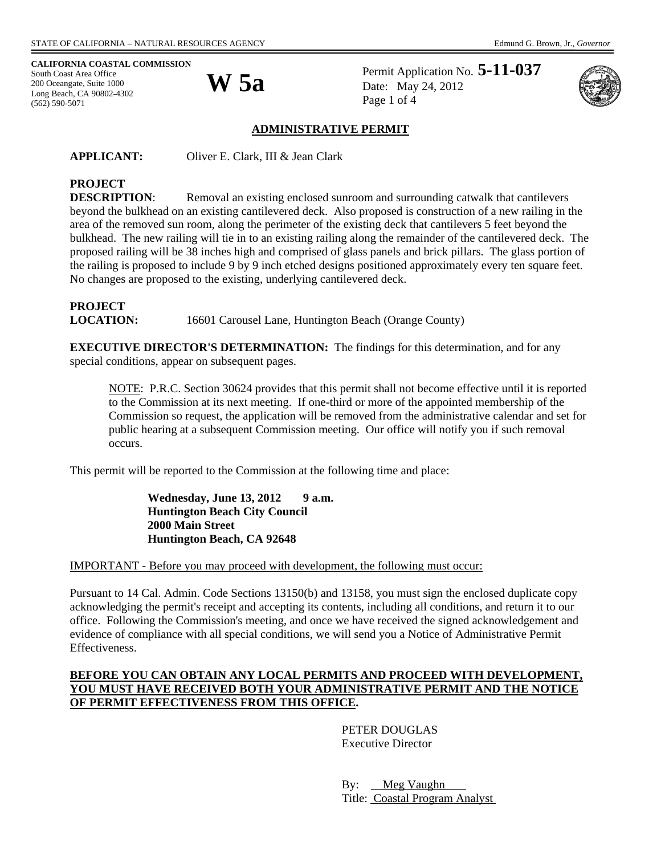## **CALIFORNIA COASTAL COMMISSION**

South Coast Area Office<br>
200 Oceangate, Suite 1000<br> **W 5a** 200 Oceangate, Suite 1000 Long Beach, CA 90802-4302 (562) 590-5071

Permit Application No. **5-11-037** Date: May 24, 2012 Page 1 of 4



#### **ADMINISTRATIVE PERMIT**

**APPLICANT:** Oliver E. Clark, III & Jean Clark

# **PROJECT**

**DESCRIPTION:** Removal an existing enclosed sunroom and surrounding catwalk that cantilevers beyond the bulkhead on an existing cantilevered deck. Also proposed is construction of a new railing in the area of the removed sun room, along the perimeter of the existing deck that cantilevers 5 feet beyond the bulkhead. The new railing will tie in to an existing railing along the remainder of the cantilevered deck. The proposed railing will be 38 inches high and comprised of glass panels and brick pillars. The glass portion of the railing is proposed to include 9 by 9 inch etched designs positioned approximately every ten square feet. No changes are proposed to the existing, underlying cantilevered deck.

# **PROJECT**

**LOCATION:** 16601 Carousel Lane, Huntington Beach (Orange County)

**EXECUTIVE DIRECTOR'S DETERMINATION:** The findings for this determination, and for any special conditions, appear on subsequent pages.

NOTE: P.R.C. Section 30624 provides that this permit shall not become effective until it is reported to the Commission at its next meeting. If one-third or more of the appointed membership of the Commission so request, the application will be removed from the administrative calendar and set for public hearing at a subsequent Commission meeting. Our office will notify you if such removal occurs.

This permit will be reported to the Commission at the following time and place:

Wednesday, June 13, 2012 9 a.m. **Huntington Beach City Council 2000 Main Street Huntington Beach, CA 92648** 

IMPORTANT - Before you may proceed with development, the following must occur:

Pursuant to 14 Cal. Admin. Code Sections 13150(b) and 13158, you must sign the enclosed duplicate copy acknowledging the permit's receipt and accepting its contents, including all conditions, and return it to our office. Following the Commission's meeting, and once we have received the signed acknowledgement and evidence of compliance with all special conditions, we will send you a Notice of Administrative Permit Effectiveness.

### **BEFORE YOU CAN OBTAIN ANY LOCAL PERMITS AND PROCEED WITH DEVELOPMENT, YOU MUST HAVE RECEIVED BOTH YOUR ADMINISTRATIVE PERMIT AND THE NOTICE OF PERMIT EFFECTIVENESS FROM THIS OFFICE.**

 PETER DOUGLAS Executive Director

By: Meg Vaughn Title: Coastal Program Analyst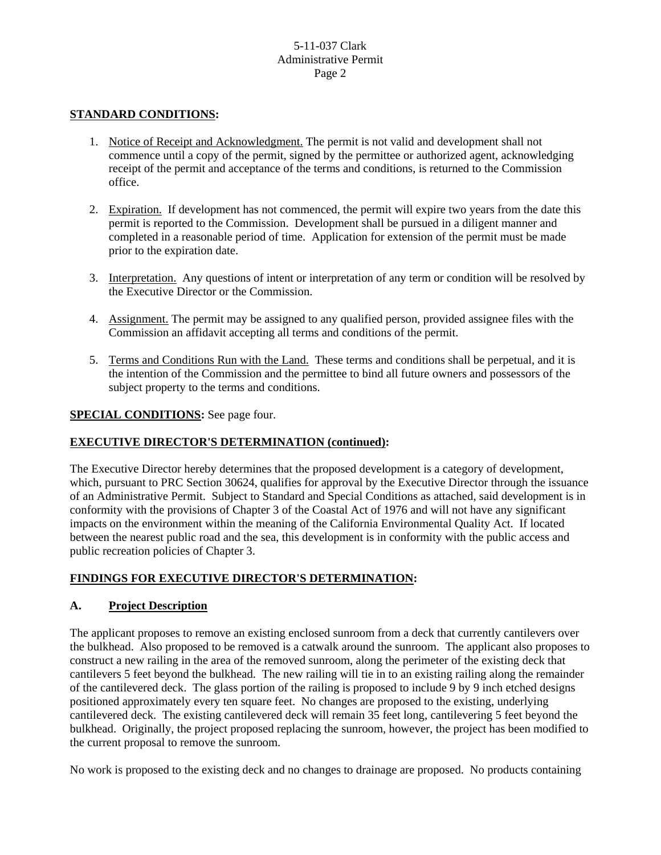#### **STANDARD CONDITIONS:**

- 1. Notice of Receipt and Acknowledgment. The permit is not valid and development shall not commence until a copy of the permit, signed by the permittee or authorized agent, acknowledging receipt of the permit and acceptance of the terms and conditions, is returned to the Commission office.
- 2. Expiration. If development has not commenced, the permit will expire two years from the date this permit is reported to the Commission. Development shall be pursued in a diligent manner and completed in a reasonable period of time. Application for extension of the permit must be made prior to the expiration date.
- 3. Interpretation. Any questions of intent or interpretation of any term or condition will be resolved by the Executive Director or the Commission.
- 4. Assignment. The permit may be assigned to any qualified person, provided assignee files with the Commission an affidavit accepting all terms and conditions of the permit.
- 5. Terms and Conditions Run with the Land. These terms and conditions shall be perpetual, and it is the intention of the Commission and the permittee to bind all future owners and possessors of the subject property to the terms and conditions.

#### **SPECIAL CONDITIONS:** See page four.

#### **EXECUTIVE DIRECTOR'S DETERMINATION (continued):**

The Executive Director hereby determines that the proposed development is a category of development, which, pursuant to PRC Section 30624, qualifies for approval by the Executive Director through the issuance of an Administrative Permit. Subject to Standard and Special Conditions as attached, said development is in conformity with the provisions of Chapter 3 of the Coastal Act of 1976 and will not have any significant impacts on the environment within the meaning of the California Environmental Quality Act. If located between the nearest public road and the sea, this development is in conformity with the public access and public recreation policies of Chapter 3.

## **FINDINGS FOR EXECUTIVE DIRECTOR'S DETERMINATION:**

#### **A. Project Description**

The applicant proposes to remove an existing enclosed sunroom from a deck that currently cantilevers over the bulkhead. Also proposed to be removed is a catwalk around the sunroom. The applicant also proposes to construct a new railing in the area of the removed sunroom, along the perimeter of the existing deck that cantilevers 5 feet beyond the bulkhead. The new railing will tie in to an existing railing along the remainder of the cantilevered deck. The glass portion of the railing is proposed to include 9 by 9 inch etched designs positioned approximately every ten square feet. No changes are proposed to the existing, underlying cantilevered deck. The existing cantilevered deck will remain 35 feet long, cantilevering 5 feet beyond the bulkhead. Originally, the project proposed replacing the sunroom, however, the project has been modified to the current proposal to remove the sunroom.

No work is proposed to the existing deck and no changes to drainage are proposed. No products containing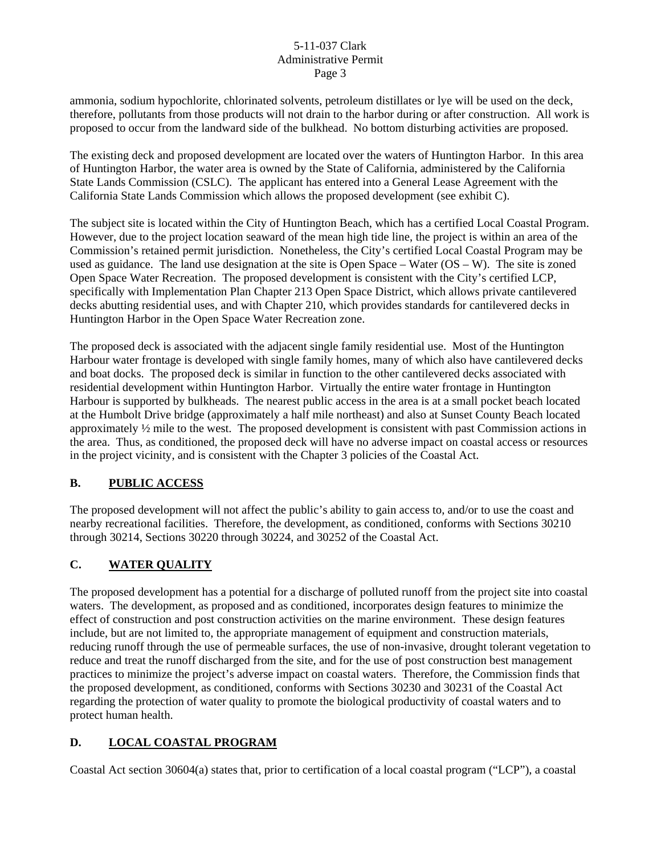ammonia, sodium hypochlorite, chlorinated solvents, petroleum distillates or lye will be used on the deck, therefore, pollutants from those products will not drain to the harbor during or after construction. All work is proposed to occur from the landward side of the bulkhead. No bottom disturbing activities are proposed.

The existing deck and proposed development are located over the waters of Huntington Harbor. In this area of Huntington Harbor, the water area is owned by the State of California, administered by the California State Lands Commission (CSLC). The applicant has entered into a General Lease Agreement with the California State Lands Commission which allows the proposed development (see exhibit C).

The subject site is located within the City of Huntington Beach, which has a certified Local Coastal Program. However, due to the project location seaward of the mean high tide line, the project is within an area of the Commission's retained permit jurisdiction. Nonetheless, the City's certified Local Coastal Program may be used as guidance. The land use designation at the site is Open Space – Water  $(OS - W)$ . The site is zoned Open Space Water Recreation. The proposed development is consistent with the City's certified LCP, specifically with Implementation Plan Chapter 213 Open Space District, which allows private cantilevered decks abutting residential uses, and with Chapter 210, which provides standards for cantilevered decks in Huntington Harbor in the Open Space Water Recreation zone.

The proposed deck is associated with the adjacent single family residential use. Most of the Huntington Harbour water frontage is developed with single family homes, many of which also have cantilevered decks and boat docks. The proposed deck is similar in function to the other cantilevered decks associated with residential development within Huntington Harbor. Virtually the entire water frontage in Huntington Harbour is supported by bulkheads. The nearest public access in the area is at a small pocket beach located at the Humbolt Drive bridge (approximately a half mile northeast) and also at Sunset County Beach located approximately  $\frac{1}{2}$  mile to the west. The proposed development is consistent with past Commission actions in the area. Thus, as conditioned, the proposed deck will have no adverse impact on coastal access or resources in the project vicinity, and is consistent with the Chapter 3 policies of the Coastal Act.

## **B. PUBLIC ACCESS**

The proposed development will not affect the public's ability to gain access to, and/or to use the coast and nearby recreational facilities. Therefore, the development, as conditioned, conforms with Sections 30210 through 30214, Sections 30220 through 30224, and 30252 of the Coastal Act.

## **C. WATER QUALITY**

The proposed development has a potential for a discharge of polluted runoff from the project site into coastal waters. The development, as proposed and as conditioned, incorporates design features to minimize the effect of construction and post construction activities on the marine environment. These design features include, but are not limited to, the appropriate management of equipment and construction materials, reducing runoff through the use of permeable surfaces, the use of non-invasive, drought tolerant vegetation to reduce and treat the runoff discharged from the site, and for the use of post construction best management practices to minimize the project's adverse impact on coastal waters. Therefore, the Commission finds that the proposed development, as conditioned, conforms with Sections 30230 and 30231 of the Coastal Act regarding the protection of water quality to promote the biological productivity of coastal waters and to protect human health.

## **D. LOCAL COASTAL PROGRAM**

Coastal Act section 30604(a) states that, prior to certification of a local coastal program ("LCP"), a coastal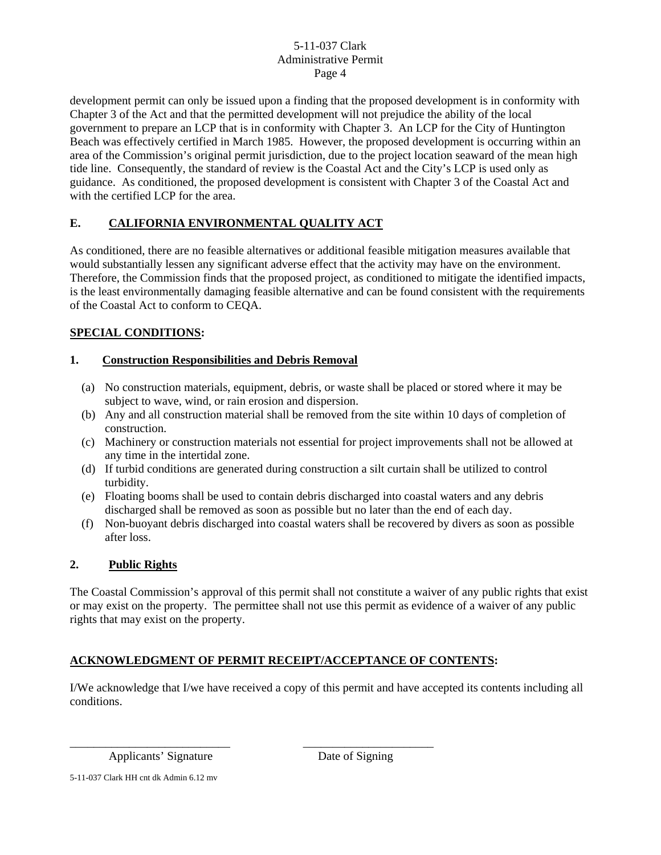development permit can only be issued upon a finding that the proposed development is in conformity with Chapter 3 of the Act and that the permitted development will not prejudice the ability of the local government to prepare an LCP that is in conformity with Chapter 3. An LCP for the City of Huntington Beach was effectively certified in March 1985. However, the proposed development is occurring within an area of the Commission's original permit jurisdiction, due to the project location seaward of the mean high tide line. Consequently, the standard of review is the Coastal Act and the City's LCP is used only as guidance. As conditioned, the proposed development is consistent with Chapter 3 of the Coastal Act and with the certified LCP for the area.

## **E. CALIFORNIA ENVIRONMENTAL QUALITY ACT**

As conditioned, there are no feasible alternatives or additional feasible mitigation measures available that would substantially lessen any significant adverse effect that the activity may have on the environment. Therefore, the Commission finds that the proposed project, as conditioned to mitigate the identified impacts, is the least environmentally damaging feasible alternative and can be found consistent with the requirements of the Coastal Act to conform to CEQA.

## **SPECIAL CONDITIONS:**

## **1. Construction Responsibilities and Debris Removal**

- (a) No construction materials, equipment, debris, or waste shall be placed or stored where it may be subject to wave, wind, or rain erosion and dispersion.
- (b) Any and all construction material shall be removed from the site within 10 days of completion of construction.
- (c) Machinery or construction materials not essential for project improvements shall not be allowed at any time in the intertidal zone.
- (d) If turbid conditions are generated during construction a silt curtain shall be utilized to control turbidity.
- (e) Floating booms shall be used to contain debris discharged into coastal waters and any debris discharged shall be removed as soon as possible but no later than the end of each day.
- (f) Non-buoyant debris discharged into coastal waters shall be recovered by divers as soon as possible after loss.

## **2. Public Rights**

The Coastal Commission's approval of this permit shall not constitute a waiver of any public rights that exist or may exist on the property. The permittee shall not use this permit as evidence of a waiver of any public rights that may exist on the property.

## **ACKNOWLEDGMENT OF PERMIT RECEIPT/ACCEPTANCE OF CONTENTS:**

\_\_\_\_\_\_\_\_\_\_\_\_\_\_\_\_\_\_\_\_\_\_\_\_\_\_\_ \_\_\_\_\_\_\_\_\_\_\_\_\_\_\_\_\_\_\_\_\_\_

I/We acknowledge that I/we have received a copy of this permit and have accepted its contents including all conditions.

Applicants' Signature Date of Signing

5-11-037 Clark HH cnt dk Admin 6.12 mv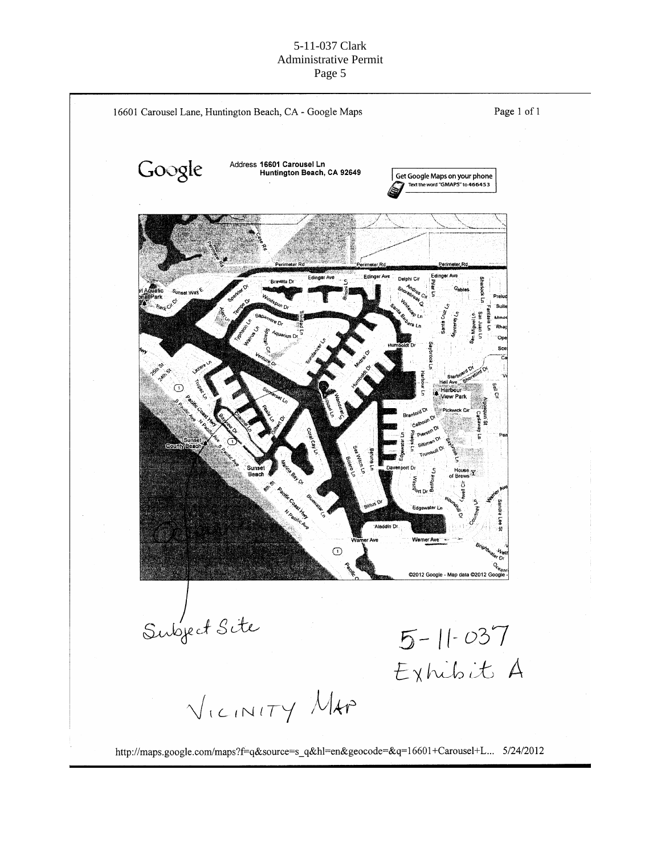